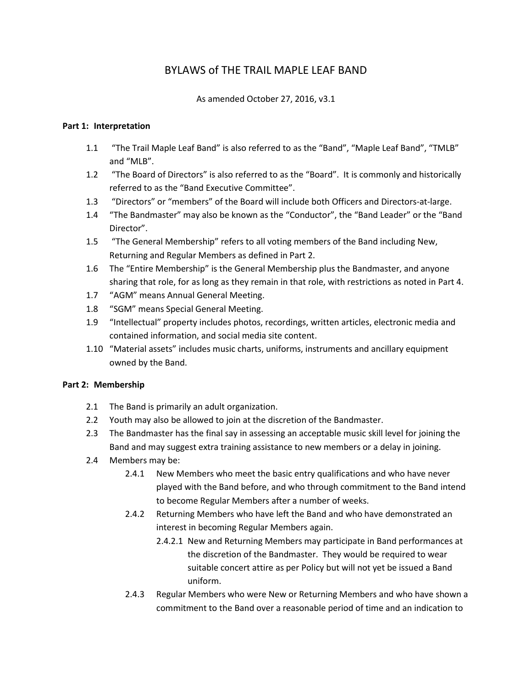# BYLAWS of THE TRAIL MAPLE LEAF BAND

As amended October 27, 2016, v3.1

## **Part 1: Interpretation**

- 1.1 "The Trail Maple Leaf Band" is also referred to as the "Band", "Maple Leaf Band", "TMLB" and "MLB".
- 1.2 "The Board of Directors" is also referred to as the "Board". It is commonly and historically referred to as the "Band Executive Committee".
- 1.3 "Directors" or "members" of the Board will include both Officers and Directors-at-large.
- 1.4 "The Bandmaster" may also be known as the "Conductor", the "Band Leader" or the "Band Director".
- 1.5 "The General Membership" refers to all voting members of the Band including New, Returning and Regular Members as defined in Part 2.
- 1.6 The "Entire Membership" is the General Membership plus the Bandmaster, and anyone sharing that role, for as long as they remain in that role, with restrictions as noted in Part 4.
- 1.7 "AGM" means Annual General Meeting.
- 1.8 "SGM" means Special General Meeting.
- 1.9 "Intellectual" property includes photos, recordings, written articles, electronic media and contained information, and social media site content.
- 1.10 "Material assets" includes music charts, uniforms, instruments and ancillary equipment owned by the Band.

# **Part 2: Membership**

- 2.1 The Band is primarily an adult organization.
- 2.2 Youth may also be allowed to join at the discretion of the Bandmaster.
- 2.3 The Bandmaster has the final say in assessing an acceptable music skill level for joining the Band and may suggest extra training assistance to new members or a delay in joining.
- 2.4 Members may be:
	- 2.4.1 New Members who meet the basic entry qualifications and who have never played with the Band before, and who through commitment to the Band intend to become Regular Members after a number of weeks.
	- 2.4.2 Returning Members who have left the Band and who have demonstrated an interest in becoming Regular Members again.
		- 2.4.2.1 New and Returning Members may participate in Band performances at the discretion of the Bandmaster. They would be required to wear suitable concert attire as per Policy but will not yet be issued a Band uniform.
	- 2.4.3 Regular Members who were New or Returning Members and who have shown a commitment to the Band over a reasonable period of time and an indication to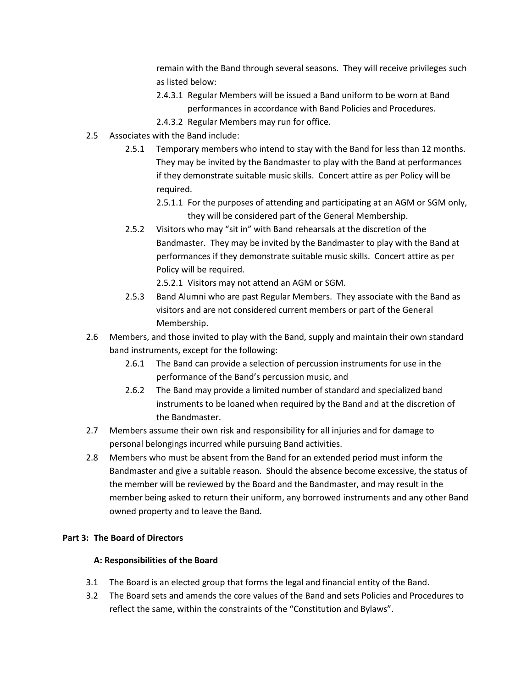remain with the Band through several seasons. They will receive privileges such as listed below:

- 2.4.3.1 Regular Members will be issued a Band uniform to be worn at Band performances in accordance with Band Policies and Procedures.
- 2.4.3.2 Regular Members may run for office.
- 2.5 Associates with the Band include:
	- 2.5.1 Temporary members who intend to stay with the Band for less than 12 months. They may be invited by the Bandmaster to play with the Band at performances if they demonstrate suitable music skills. Concert attire as per Policy will be required.
		- 2.5.1.1 For the purposes of attending and participating at an AGM or SGM only, they will be considered part of the General Membership.
	- 2.5.2 Visitors who may "sit in" with Band rehearsals at the discretion of the Bandmaster. They may be invited by the Bandmaster to play with the Band at performances if they demonstrate suitable music skills. Concert attire as per Policy will be required.

2.5.2.1 Visitors may not attend an AGM or SGM.

- 2.5.3 Band Alumni who are past Regular Members. They associate with the Band as visitors and are not considered current members or part of the General Membership.
- 2.6 Members, and those invited to play with the Band, supply and maintain their own standard band instruments, except for the following:
	- 2.6.1 The Band can provide a selection of percussion instruments for use in the performance of the Band's percussion music, and
	- 2.6.2 The Band may provide a limited number of standard and specialized band instruments to be loaned when required by the Band and at the discretion of the Bandmaster.
- 2.7 Members assume their own risk and responsibility for all injuries and for damage to personal belongings incurred while pursuing Band activities.
- 2.8 Members who must be absent from the Band for an extended period must inform the Bandmaster and give a suitable reason. Should the absence become excessive, the status of the member will be reviewed by the Board and the Bandmaster, and may result in the member being asked to return their uniform, any borrowed instruments and any other Band owned property and to leave the Band.

#### **Part 3: The Board of Directors**

#### **A: Responsibilities of the Board**

- 3.1 The Board is an elected group that forms the legal and financial entity of the Band.
- 3.2 The Board sets and amends the core values of the Band and sets Policies and Procedures to reflect the same, within the constraints of the "Constitution and Bylaws".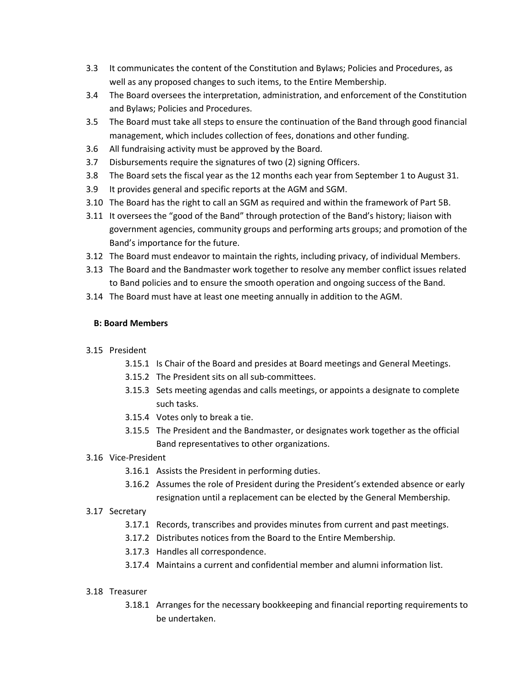- 3.3 It communicates the content of the Constitution and Bylaws; Policies and Procedures, as well as any proposed changes to such items, to the Entire Membership.
- 3.4 The Board oversees the interpretation, administration, and enforcement of the Constitution and Bylaws; Policies and Procedures.
- 3.5 The Board must take all steps to ensure the continuation of the Band through good financial management, which includes collection of fees, donations and other funding.
- 3.6 All fundraising activity must be approved by the Board.
- 3.7 Disbursements require the signatures of two (2) signing Officers.
- 3.8 The Board sets the fiscal year as the 12 months each year from September 1 to August 31.
- 3.9 It provides general and specific reports at the AGM and SGM.
- 3.10 The Board has the right to call an SGM as required and within the framework of Part 5B.
- 3.11 It oversees the "good of the Band" through protection of the Band's history; liaison with government agencies, community groups and performing arts groups; and promotion of the Band's importance for the future.
- 3.12 The Board must endeavor to maintain the rights, including privacy, of individual Members.
- 3.13 The Board and the Bandmaster work together to resolve any member conflict issues related to Band policies and to ensure the smooth operation and ongoing success of the Band.
- 3.14 The Board must have at least one meeting annually in addition to the AGM.

# **B: Board Members**

# 3.15 President

- 3.15.1 Is Chair of the Board and presides at Board meetings and General Meetings.
- 3.15.2 The President sits on all sub-committees.
- 3.15.3 Sets meeting agendas and calls meetings, or appoints a designate to complete such tasks.
- 3.15.4 Votes only to break a tie.
- 3.15.5 The President and the Bandmaster, or designates work together as the official Band representatives to other organizations.
- 3.16 Vice-President
	- 3.16.1 Assists the President in performing duties.
	- 3.16.2 Assumes the role of President during the President's extended absence or early resignation until a replacement can be elected by the General Membership.

# 3.17 Secretary

- 3.17.1 Records, transcribes and provides minutes from current and past meetings.
- 3.17.2 Distributes notices from the Board to the Entire Membership.
- 3.17.3 Handles all correspondence.
- 3.17.4 Maintains a current and confidential member and alumni information list.

#### 3.18 Treasurer

3.18.1 Arranges for the necessary bookkeeping and financial reporting requirements to be undertaken.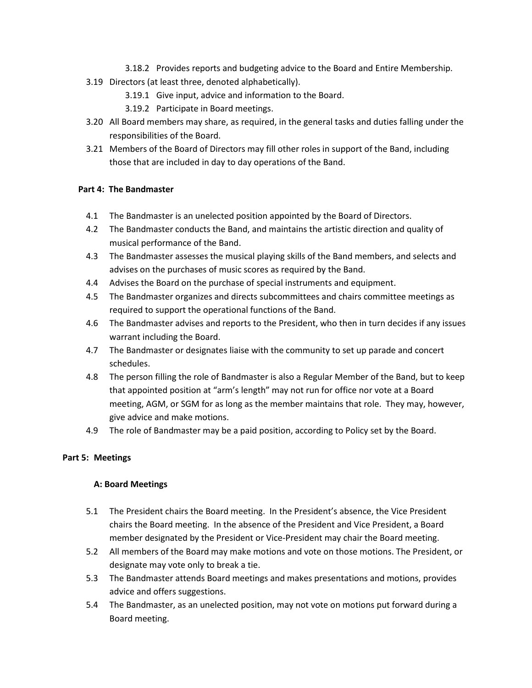- 3.18.2 Provides reports and budgeting advice to the Board and Entire Membership.
- 3.19 Directors (at least three, denoted alphabetically).
	- 3.19.1 Give input, advice and information to the Board.
	- 3.19.2 Participate in Board meetings.
- 3.20 All Board members may share, as required, in the general tasks and duties falling under the responsibilities of the Board.
- 3.21 Members of the Board of Directors may fill other roles in support of the Band, including those that are included in day to day operations of the Band.

## **Part 4: The Bandmaster**

- 4.1 The Bandmaster is an unelected position appointed by the Board of Directors.
- 4.2 The Bandmaster conducts the Band, and maintains the artistic direction and quality of musical performance of the Band.
- 4.3 The Bandmaster assesses the musical playing skills of the Band members, and selects and advises on the purchases of music scores as required by the Band.
- 4.4 Advises the Board on the purchase of special instruments and equipment.
- 4.5 The Bandmaster organizes and directs subcommittees and chairs committee meetings as required to support the operational functions of the Band.
- 4.6 The Bandmaster advises and reports to the President, who then in turn decides if any issues warrant including the Board.
- 4.7 The Bandmaster or designates liaise with the community to set up parade and concert schedules.
- 4.8 The person filling the role of Bandmaster is also a Regular Member of the Band, but to keep that appointed position at "arm's length" may not run for office nor vote at a Board meeting, AGM, or SGM for as long as the member maintains that role. They may, however, give advice and make motions.
- 4.9 The role of Bandmaster may be a paid position, according to Policy set by the Board.

# **Part 5: Meetings**

#### **A: Board Meetings**

- 5.1 The President chairs the Board meeting. In the President's absence, the Vice President chairs the Board meeting. In the absence of the President and Vice President, a Board member designated by the President or Vice-President may chair the Board meeting.
- 5.2 All members of the Board may make motions and vote on those motions. The President, or designate may vote only to break a tie.
- 5.3 The Bandmaster attends Board meetings and makes presentations and motions, provides advice and offers suggestions.
- 5.4 The Bandmaster, as an unelected position, may not vote on motions put forward during a Board meeting.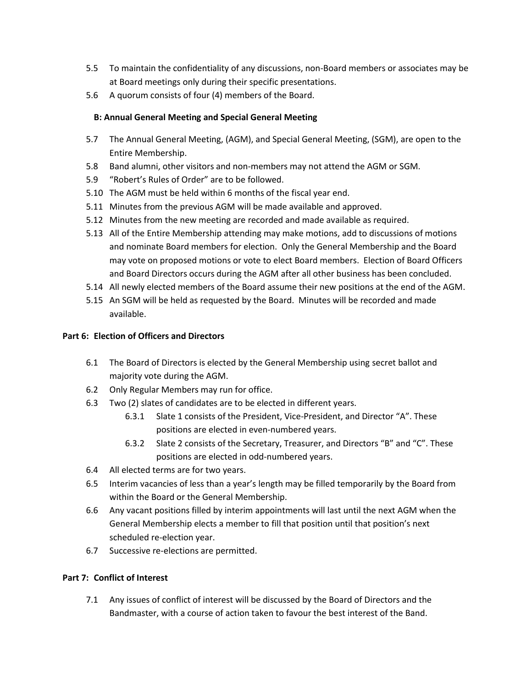- 5.5 To maintain the confidentiality of any discussions, non-Board members or associates may be at Board meetings only during their specific presentations.
- 5.6 A quorum consists of four (4) members of the Board.

### **B: Annual General Meeting and Special General Meeting**

- 5.7 The Annual General Meeting, (AGM), and Special General Meeting, (SGM), are open to the Entire Membership.
- 5.8 Band alumni, other visitors and non-members may not attend the AGM or SGM.
- 5.9 "Robert's Rules of Order" are to be followed.
- 5.10 The AGM must be held within 6 months of the fiscal year end.
- 5.11 Minutes from the previous AGM will be made available and approved.
- 5.12 Minutes from the new meeting are recorded and made available as required.
- 5.13 All of the Entire Membership attending may make motions, add to discussions of motions and nominate Board members for election. Only the General Membership and the Board may vote on proposed motions or vote to elect Board members. Election of Board Officers and Board Directors occurs during the AGM after all other business has been concluded.
- 5.14 All newly elected members of the Board assume their new positions at the end of the AGM.
- 5.15 An SGM will be held as requested by the Board. Minutes will be recorded and made available.

#### **Part 6: Election of Officers and Directors**

- 6.1 The Board of Directors is elected by the General Membership using secret ballot and majority vote during the AGM.
- 6.2 Only Regular Members may run for office.
- 6.3 Two (2) slates of candidates are to be elected in different years.
	- 6.3.1 Slate 1 consists of the President, Vice-President, and Director "A". These positions are elected in even-numbered years.
	- 6.3.2 Slate 2 consists of the Secretary, Treasurer, and Directors "B" and "C". These positions are elected in odd-numbered years.
- 6.4 All elected terms are for two years.
- 6.5 Interim vacancies of less than a year's length may be filled temporarily by the Board from within the Board or the General Membership.
- 6.6 Any vacant positions filled by interim appointments will last until the next AGM when the General Membership elects a member to fill that position until that position's next scheduled re-election year.
- 6.7 Successive re-elections are permitted.

#### **Part 7: Conflict of Interest**

7.1 Any issues of conflict of interest will be discussed by the Board of Directors and the Bandmaster, with a course of action taken to favour the best interest of the Band.